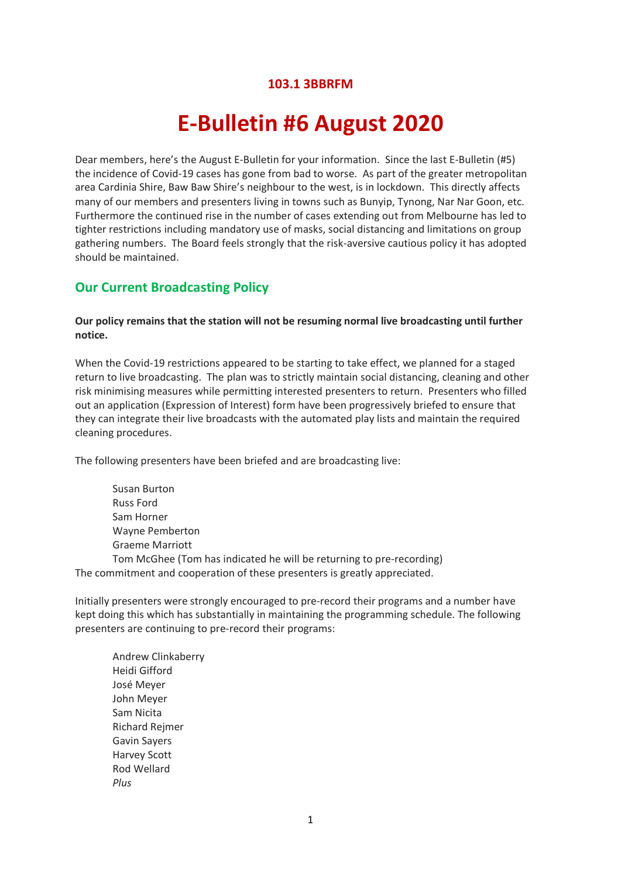# **103.1 3BBRFM**

# **E-Bulletin #6 August 2020**

Dear members, here's the August E-Bulletin for your information. Since the last E-Bulletin (#5) the incidence of Covid-19 cases has gone from bad to worse. As part of the greater metropolitan area Cardinia Shire, Baw Baw Shire's neighbour to the west, is in lockdown. This directly affects many of our members and presenters living in towns such as Bunyip, Tynong, Nar Nar Goon, etc. Furthermore the continued rise in the number of cases extending out from Melbourne has led to tighter restrictions including mandatory use of masks, social distancing and limitations on group gathering numbers. The Board feels strongly that the risk-aversive cautious policy it has adopted should be maintained.

## **Our Current Broadcasting Policy**

#### **Our policy remains that the station will not be resuming normal live broadcasting until further notice.**

When the Covid-19 restrictions appeared to be starting to take effect, we planned for a staged return to live broadcasting. The plan was to strictly maintain social distancing, cleaning and other risk minimising measures while permitting interested presenters to return. Presenters who filled out an application (Expression of Interest) form have been progressively briefed to ensure that they can integrate their live broadcasts with the automated play lists and maintain the required cleaning procedures.

The following presenters have been briefed and are broadcasting live:

Susan Burton Russ Ford Sam Horner Wayne Pemberton Graeme Marriott Tom McGhee (Tom has indicated he will be returning to pre-recording)

The commitment and cooperation of these presenters is greatly appreciated.

Initially presenters were strongly encouraged to pre-record their programs and a number have kept doing this which has substantially in maintaining the programming schedule. The following presenters are continuing to pre-record their programs:

Andrew Clinkaberry Heidi Gifford José Meyer John Meyer Sam Nicita Richard Rejmer Gavin Sayers Harvey Scott Rod Wellard *Plus*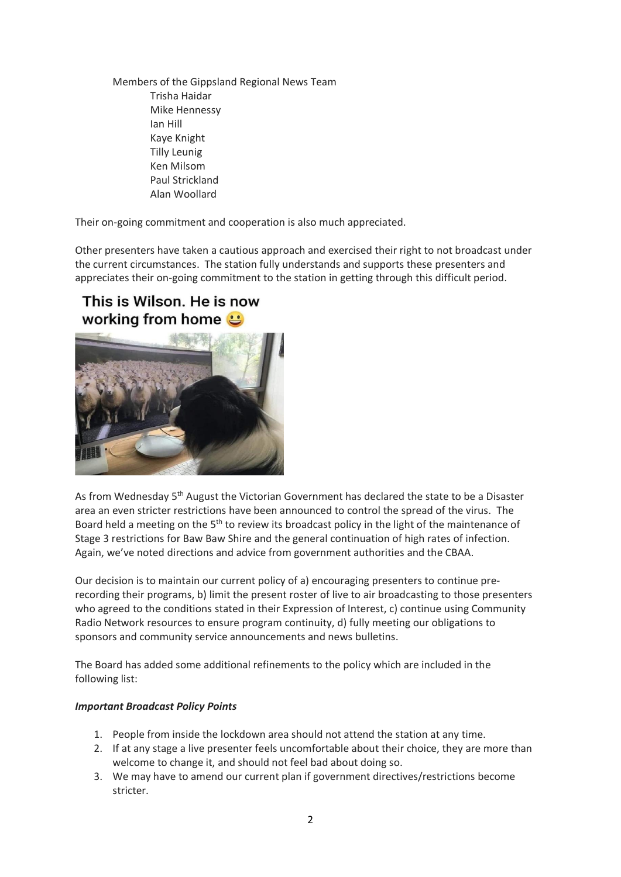Members of the Gippsland Regional News Team Trisha Haidar Mike Hennessy Ian Hill Kaye Knight Tilly Leunig Ken Milsom Paul Strickland Alan Woollard

Their on-going commitment and cooperation is also much appreciated.

Other presenters have taken a cautious approach and exercised their right to not broadcast under the current circumstances. The station fully understands and supports these presenters and appreciates their on-going commitment to the station in getting through this difficult period.

# This is Wilson. He is now working from home **U**



As from Wednesday 5<sup>th</sup> August the Victorian Government has declared the state to be a Disaster area an even stricter restrictions have been announced to control the spread of the virus. The Board held a meeting on the 5<sup>th</sup> to review its broadcast policy in the light of the maintenance of Stage 3 restrictions for Baw Baw Shire and the general continuation of high rates of infection. Again, we've noted directions and advice from government authorities and the CBAA.

Our decision is to maintain our current policy of a) encouraging presenters to continue prerecording their programs, b) limit the present roster of live to air broadcasting to those presenters who agreed to the conditions stated in their Expression of Interest, c) continue using Community Radio Network resources to ensure program continuity, d) fully meeting our obligations to sponsors and community service announcements and news bulletins.

The Board has added some additional refinements to the policy which are included in the following list:

### *Important Broadcast Policy Points*

- 1. People from inside the lockdown area should not attend the station at any time.
- 2. If at any stage a live presenter feels uncomfortable about their choice, they are more than welcome to change it, and should not feel bad about doing so.
- 3. We may have to amend our current plan if government directives/restrictions become stricter.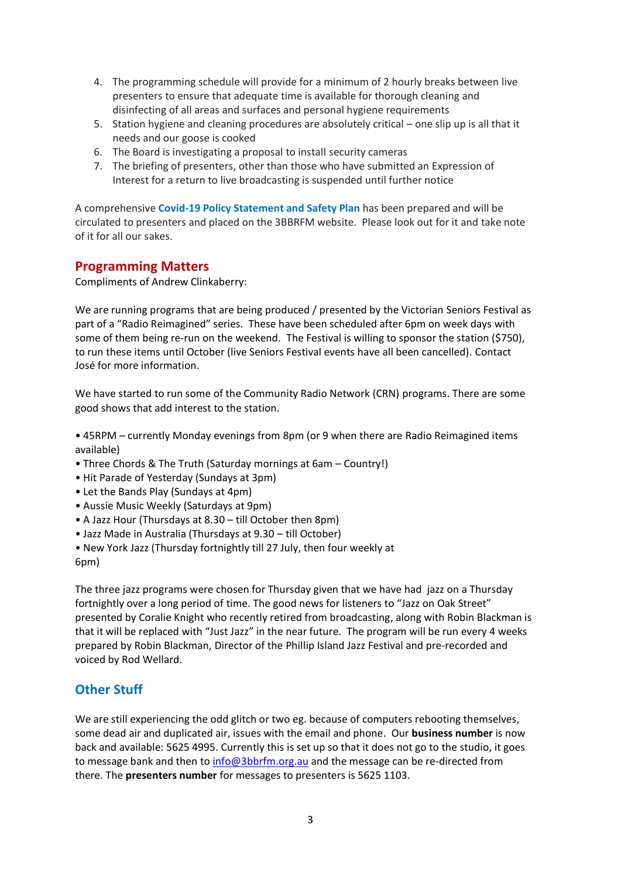- 4. The programming schedule will provide for a minimum of 2 hourly breaks between live presenters to ensure that adequate time is available for thorough cleaning and disinfecting of all areas and surfaces and personal hygiene requirements
- 5. Station hygiene and cleaning procedures are absolutely critical one slip up is all that it needs and our goose is cooked
- 6. The Board is investigating a proposal to install security cameras
- 7. The briefing of presenters, other than those who have submitted an Expression of Interest for a return to live broadcasting is suspended until further notice

A comprehensive **Covid-19 Policy Statement and Safety Plan** has been prepared and will be circulated to presenters and placed on the 3BBRFM website. Please look out for it and take note of it for all our sakes.

# **Programming Matters**

Compliments of Andrew Clinkaberry:

We are running programs that are being produced / presented by the Victorian Seniors Festival as part of a "Radio Reimagined" series. These have been scheduled after 6pm on week days with some of them being re-run on the weekend. The Festival is willing to sponsor the station (\$750), to run these items until October (live Seniors Festival events have all been cancelled). Contact José for more information.

We have started to run some of the Community Radio Network (CRN) programs. There are some good shows that add interest to the station.

• 45RPM – currently Monday evenings from 8pm (or 9 when there are Radio Reimagined items available)

- Three Chords & The Truth (Saturday mornings at 6am Country!)
- Hit Parade of Yesterday (Sundays at 3pm)
- Let the Bands Play (Sundays at 4pm)
- Aussie Music Weekly (Saturdays at 9pm)
- A Jazz Hour (Thursdays at 8.30 till October then 8pm)
- Jazz Made in Australia (Thursdays at 9.30 till October)
- New York Jazz (Thursday fortnightly till 27 July, then four weekly at 6pm)

The three jazz programs were chosen for Thursday given that we have had jazz on a Thursday fortnightly over a long period of time. The good news for listeners to "Jazz on Oak Street" presented by Coralie Knight who recently retired from broadcasting, along with Robin Blackman is that it will be replaced with "Just Jazz" in the near future. The program will be run every 4 weeks prepared by Robin Blackman, Director of the Phillip Island Jazz Festival and pre-recorded and voiced by Rod Wellard.

# **Other Stuff**

We are still experiencing the odd glitch or two eg. because of computers rebooting themselves, some dead air and duplicated air, issues with the email and phone. Our **business number** is now back and available: 5625 4995. Currently this is set up so that it does not go to the studio, it goes to message bank and then to [info@3bbrfm.org.au](mailto:info@3bbrfm.org.au) and the message can be re-directed from there. The **presenters number** for messages to presenters is 5625 1103.